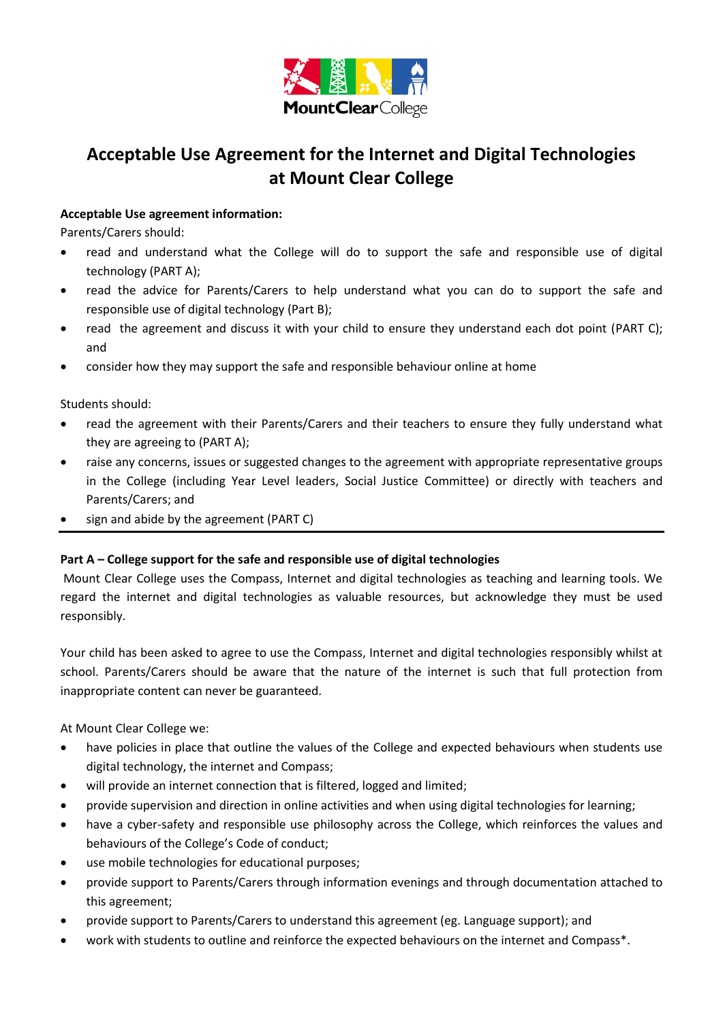

# **Acceptable Use Agreement for the Internet and Digital Technologies at Mount Clear College**

# **Acceptable Use agreement information:**

Parents/Carers should:

- read and understand what the College will do to support the safe and responsible use of digital technology (PART A);
- read the advice for Parents/Carers to help understand what you can do to support the safe and responsible use of digital technology (Part B);
- read the agreement and discuss it with your child to ensure they understand each dot point (PART C); and
- consider how they may support the safe and responsible behaviour online at home

Students should:

- read the agreement with their Parents/Carers and their teachers to ensure they fully understand what they are agreeing to (PART A);
- raise any concerns, issues or suggested changes to the agreement with appropriate representative groups in the College (including Year Level leaders, Social Justice Committee) or directly with teachers and Parents/Carers; and
- sign and abide by the agreement (PART C)

# **Part A – College support for the safe and responsible use of digital technologies**

Mount Clear College uses the Compass, Internet and digital technologies as teaching and learning tools. We regard the internet and digital technologies as valuable resources, but acknowledge they must be used responsibly.

Your child has been asked to agree to use the Compass, Internet and digital technologies responsibly whilst at school. Parents/Carers should be aware that the nature of the internet is such that full protection from inappropriate content can never be guaranteed.

At Mount Clear College we:

- have policies in place that outline the values of the College and expected behaviours when students use digital technology, the internet and Compass;
- will provide an internet connection that is filtered, logged and limited;
- provide supervision and direction in online activities and when using digital technologies for learning;
- have a cyber-safety and responsible use philosophy across the College, which reinforces the values and behaviours of the College's Code of conduct;
- use mobile technologies for educational purposes;
- provide support to Parents/Carers through information evenings and through documentation attached to this agreement;
- provide support to Parents/Carers to understand this agreement (eg. Language support); and
- work with students to outline and reinforce the expected behaviours on the internet and Compass\*.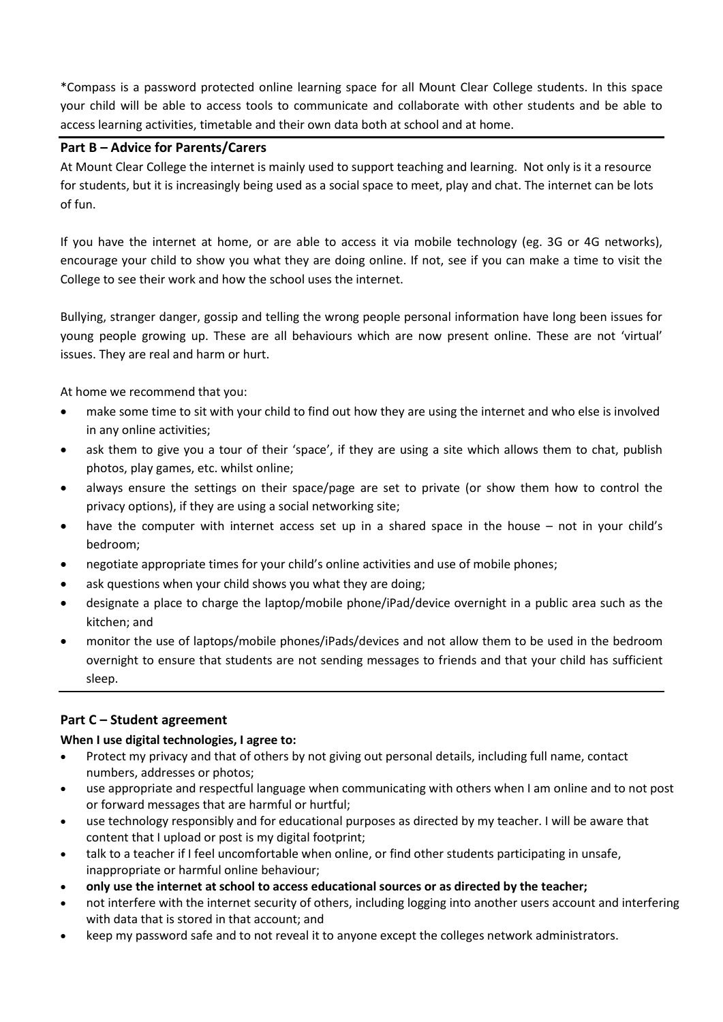\*Compass is a password protected online learning space for all Mount Clear College students. In this space your child will be able to access tools to communicate and collaborate with other students and be able to access learning activities, timetable and their own data both at school and at home.

# **Part B – Advice for Parents/Carers**

At Mount Clear College the internet is mainly used to support teaching and learning. Not only is it a resource for students, but it is increasingly being used as a social space to meet, play and chat. The internet can be lots of fun.

If you have the internet at home, or are able to access it via mobile technology (eg. 3G or 4G networks), encourage your child to show you what they are doing online. If not, see if you can make a time to visit the College to see their work and how the school uses the internet.

Bullying, stranger danger, gossip and telling the wrong people personal information have long been issues for young people growing up. These are all behaviours which are now present online. These are not 'virtual' issues. They are real and harm or hurt.

At home we recommend that you:

- make some time to sit with your child to find out how they are using the internet and who else is involved in any online activities;
- ask them to give you a tour of their 'space', if they are using a site which allows them to chat, publish photos, play games, etc. whilst online;
- always ensure the settings on their space/page are set to private (or show them how to control the privacy options), if they are using a social networking site;
- have the computer with internet access set up in a shared space in the house not in your child's bedroom;
- negotiate appropriate times for your child's online activities and use of mobile phones;
- ask questions when your child shows you what they are doing;
- designate a place to charge the laptop/mobile phone/iPad/device overnight in a public area such as the kitchen; and
- monitor the use of laptops/mobile phones/iPads/devices and not allow them to be used in the bedroom overnight to ensure that students are not sending messages to friends and that your child has sufficient sleep.

# **Part C – Student agreement**

# **When I use digital technologies, I agree to:**

- Protect my privacy and that of others by not giving out personal details, including full name, contact numbers, addresses or photos;
- use appropriate and respectful language when communicating with others when I am online and to not post or forward messages that are harmful or hurtful;
- use technology responsibly and for educational purposes as directed by my teacher. I will be aware that content that I upload or post is my digital footprint;
- talk to a teacher if I feel uncomfortable when online, or find other students participating in unsafe, inappropriate or harmful online behaviour;
- **only use the internet at school to access educational sources or as directed by the teacher;**
- not interfere with the internet security of others, including logging into another users account and interfering with data that is stored in that account; and
- keep my password safe and to not reveal it to anyone except the colleges network administrators.